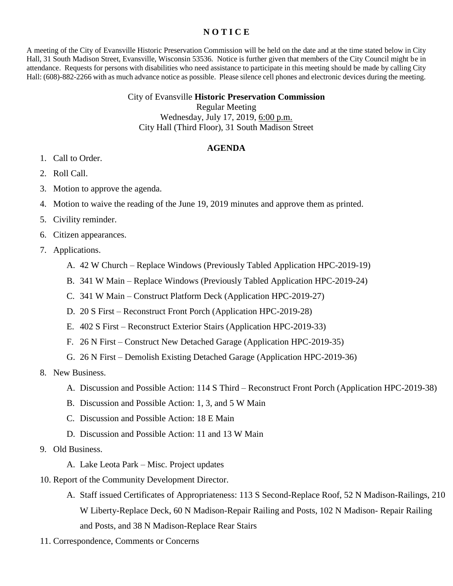## **N O T I C E**

A meeting of the City of Evansville Historic Preservation Commission will be held on the date and at the time stated below in City Hall, 31 South Madison Street, Evansville, Wisconsin 53536. Notice is further given that members of the City Council might be in attendance. Requests for persons with disabilities who need assistance to participate in this meeting should be made by calling City Hall: (608)-882-2266 with as much advance notice as possible. Please silence cell phones and electronic devices during the meeting.

## City of Evansville **Historic Preservation Commission** Regular Meeting Wednesday, July 17, 2019, 6:00 p.m.

City Hall (Third Floor), 31 South Madison Street

## **AGENDA**

- 1. Call to Order.
- 2. Roll Call.
- 3. Motion to approve the agenda.
- 4. Motion to waive the reading of the June 19, 2019 minutes and approve them as printed.
- 5. Civility reminder.
- 6. Citizen appearances.
- 7. Applications.
	- A. 42 W Church Replace Windows (Previously Tabled Application HPC-2019-19)
	- B. 341 W Main Replace Windows (Previously Tabled Application HPC-2019-24)
	- C. 341 W Main Construct Platform Deck (Application HPC-2019-27)
	- D. 20 S First Reconstruct Front Porch (Application HPC-2019-28)
	- E. 402 S First Reconstruct Exterior Stairs (Application HPC-2019-33)
	- F. 26 N First Construct New Detached Garage (Application HPC-2019-35)
	- G. 26 N First Demolish Existing Detached Garage (Application HPC-2019-36)
- 8. New Business.
	- A. Discussion and Possible Action: 114 S Third Reconstruct Front Porch (Application HPC-2019-38)
	- B. Discussion and Possible Action: 1, 3, and 5 W Main
	- C. Discussion and Possible Action: 18 E Main
	- D. Discussion and Possible Action: 11 and 13 W Main
- 9. Old Business.
	- A. Lake Leota Park Misc. Project updates
- 10. Report of the Community Development Director.
	- A. Staff issued Certificates of Appropriateness: 113 S Second-Replace Roof, 52 N Madison-Railings, 210 W Liberty-Replace Deck, 60 N Madison-Repair Railing and Posts, 102 N Madison- Repair Railing and Posts, and 38 N Madison-Replace Rear Stairs
- 11. Correspondence, Comments or Concerns